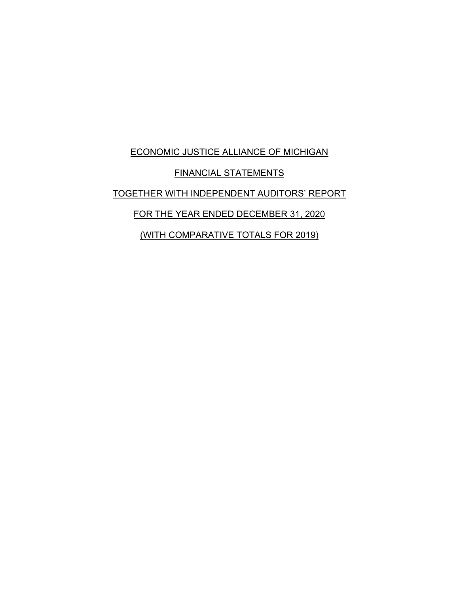# ECONOMIC JUSTICE ALLIANCE OF MICHIGAN FINANCIAL STATEMENTS TOGETHER WITH INDEPENDENT AUDITORS' REPORT FOR THE YEAR ENDED DECEMBER 31, 2020 (WITH COMPARATIVE TOTALS FOR 2019)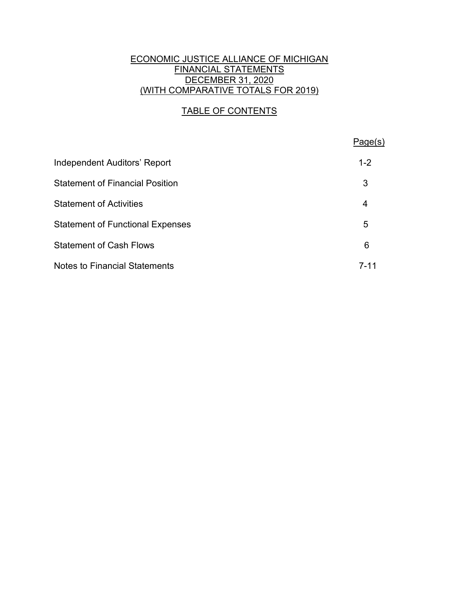## ECONOMIC JUSTICE ALLIANCE OF MICHIGAN FINANCIAL STATEMENTS DECEMBER 31, 2020 (WITH COMPARATIVE TOTALS FOR 2019)

## TABLE OF CONTENTS

Page(s)

| Independent Auditors' Report            | $1 - 2$ |
|-----------------------------------------|---------|
| <b>Statement of Financial Position</b>  | 3       |
| <b>Statement of Activities</b>          | 4       |
| <b>Statement of Functional Expenses</b> | 5       |
| <b>Statement of Cash Flows</b>          | 6       |
| <b>Notes to Financial Statements</b>    | 7-11    |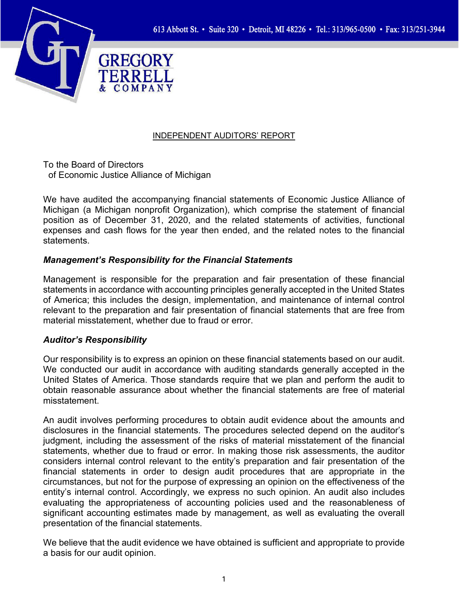

## INDEPENDENT AUDITORS' REPORT

To the Board of Directors of Economic Justice Alliance of Michigan

We have audited the accompanying financial statements of Economic Justice Alliance of Michigan (a Michigan nonprofit Organization), which comprise the statement of financial position as of December 31, 2020, and the related statements of activities, functional expenses and cash flows for the year then ended, and the related notes to the financial statements.

## *Management's Responsibility for the Financial Statements*

Management is responsible for the preparation and fair presentation of these financial statements in accordance with accounting principles generally accepted in the United States of America; this includes the design, implementation, and maintenance of internal control relevant to the preparation and fair presentation of financial statements that are free from material misstatement, whether due to fraud or error.

#### *Auditor's Responsibility*

Our responsibility is to express an opinion on these financial statements based on our audit. We conducted our audit in accordance with auditing standards generally accepted in the United States of America. Those standards require that we plan and perform the audit to obtain reasonable assurance about whether the financial statements are free of material misstatement.

An audit involves performing procedures to obtain audit evidence about the amounts and disclosures in the financial statements. The procedures selected depend on the auditor's judgment, including the assessment of the risks of material misstatement of the financial statements, whether due to fraud or error. In making those risk assessments, the auditor considers internal control relevant to the entity's preparation and fair presentation of the financial statements in order to design audit procedures that are appropriate in the circumstances, but not for the purpose of expressing an opinion on the effectiveness of the entity's internal control. Accordingly, we express no such opinion. An audit also includes evaluating the appropriateness of accounting policies used and the reasonableness of significant accounting estimates made by management, as well as evaluating the overall presentation of the financial statements.

We believe that the audit evidence we have obtained is sufficient and appropriate to provide a basis for our audit opinion.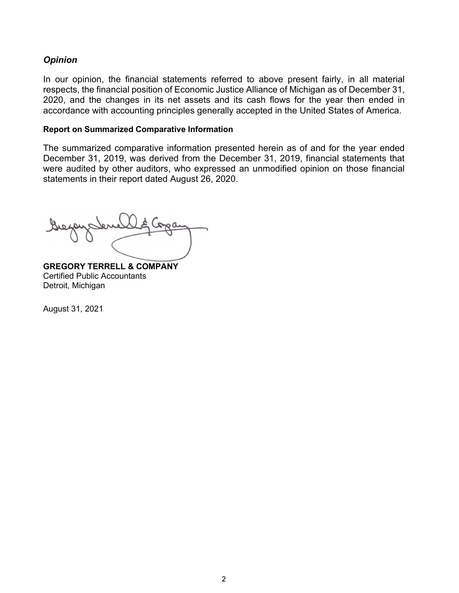## *Opinion*

In our opinion, the financial statements referred to above present fairly, in all material respects, the financial position of Economic Justice Alliance of Michigan as of December 31, 2020, and the changes in its net assets and its cash flows for the year then ended in accordance with accounting principles generally accepted in the United States of America.

#### **Report on Summarized Comparative Information**

The summarized comparative information presented herein as of and for the year ended December 31, 2019, was derived from the December 31, 2019, financial statements that were audited by other auditors, who expressed an unmodified opinion on those financial statements in their report dated August 26, 2020.

**GREGORY TERRELL & COMPANY** Certified Public Accountants Detroit, Michigan

August 31, 2021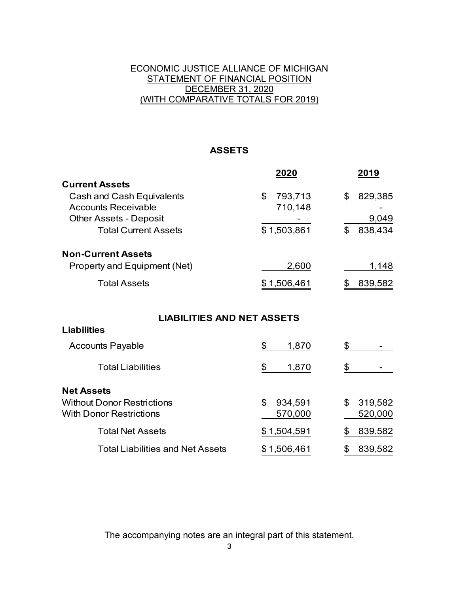## ECONOMIC JUSTICE ALLIANCE OF MICHIGAN STATEMENT OF FINANCIAL POSITION DECEMBER 31, 2020 (WITH COMPARATIVE TOTALS FOR 2019)

## **ASSETS**

|                               | 2020          | 2019         |
|-------------------------------|---------------|--------------|
| <b>Current Assets</b>         |               |              |
| Cash and Cash Equivalents     | 793,713<br>\$ | 829,385<br>S |
| Accounts Receivable           | 710,148       |              |
| <b>Other Assets - Deposit</b> |               | 9,049        |
| <b>Total Current Assets</b>   | \$1,503,861   | 838,434      |
| Non-Current Assets            |               |              |
| Property and Equipment (Net)  | 2,600         | 1,148        |
| <b>Total Assets</b>           | \$1,506,461   | 839,582      |
|                               |               |              |

## **LIABILITIES AND NET ASSETS**

| <b>Liabilities</b>                                                                       |                          |                          |
|------------------------------------------------------------------------------------------|--------------------------|--------------------------|
| <b>Accounts Payable</b>                                                                  | \$<br>1,870              | \$                       |
| <b>Total Liabilities</b>                                                                 | \$<br>1,870              | \$                       |
| <b>Net Assets</b><br><b>Without Donor Restrictions</b><br><b>With Donor Restrictions</b> | 934,591<br>\$<br>570,000 | \$<br>319,582<br>520,000 |
| <b>Total Net Assets</b>                                                                  | \$1,504,591              | \$<br>839,582            |
| <b>Total Liabilities and Net Assets</b>                                                  | \$1,506,461              | 839,582                  |

The accompanying notes are an integral part of this statement.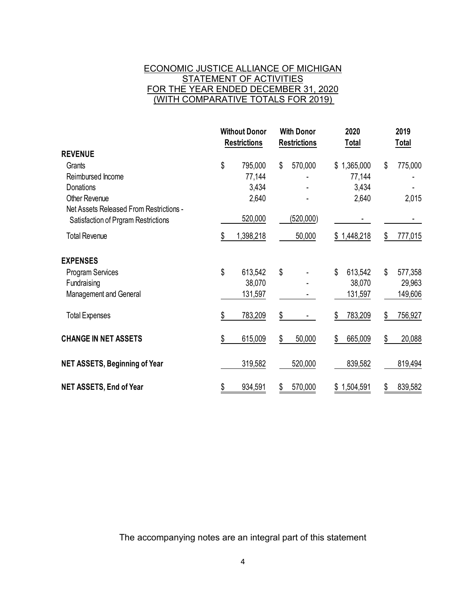## ECONOMIC JUSTICE ALLIANCE OF MICHIGAN STATEMENT OF ACTIVITIES FOR THE YEAR ENDED DECEMBER 31, 2020 (WITH COMPARATIVE TOTALS FOR 2019)

|                                         | <b>Without Donor</b><br><b>Restrictions</b> | <b>With Donor</b><br><b>Restrictions</b> |           | 2020<br><u>Total</u> |             | 2019<br><b>Total</b> |         |
|-----------------------------------------|---------------------------------------------|------------------------------------------|-----------|----------------------|-------------|----------------------|---------|
| <b>REVENUE</b>                          |                                             |                                          |           |                      |             |                      |         |
| Grants                                  | \$<br>795,000                               | \$                                       | 570,000   |                      | \$1,365,000 | \$                   | 775,000 |
| Reimbursed Income                       | 77,144                                      |                                          |           |                      | 77,144      |                      |         |
| Donations                               | 3,434                                       |                                          |           |                      | 3,434       |                      |         |
| <b>Other Revenue</b>                    | 2,640                                       |                                          |           |                      | 2,640       |                      | 2,015   |
| Net Assets Released From Restrictions - |                                             |                                          |           |                      |             |                      |         |
| Satisfaction of Prgram Restrictions     | 520,000                                     |                                          | (520,000) |                      |             |                      |         |
| <b>Total Revenue</b>                    | \$<br>1,398,218                             |                                          | 50,000    |                      | \$1,448,218 | \$                   | 777,015 |
| <b>EXPENSES</b>                         |                                             |                                          |           |                      |             |                      |         |
| <b>Program Services</b>                 | \$<br>613,542                               | \$                                       |           | \$                   | 613,542     | \$                   | 577,358 |
| Fundraising                             | 38,070                                      |                                          |           |                      | 38,070      |                      | 29,963  |
| Management and General                  | 131,597                                     |                                          |           |                      | 131,597     |                      | 149,606 |
| <b>Total Expenses</b>                   | \$<br>783,209                               | \$                                       |           | \$                   | 783,209     | \$                   | 756,927 |
| <b>CHANGE IN NET ASSETS</b>             | \$<br>615,009                               | \$                                       | 50,000    | \$                   | 665,009     | \$                   | 20,088  |
| <b>NET ASSETS, Beginning of Year</b>    | 319,582                                     |                                          | 520,000   |                      | 839,582     |                      | 819,494 |
| NET ASSETS, End of Year                 | \$<br>934,591                               |                                          | 570,000   |                      | \$1,504,591 | S                    | 839,582 |

The accompanying notes are an integral part of this statement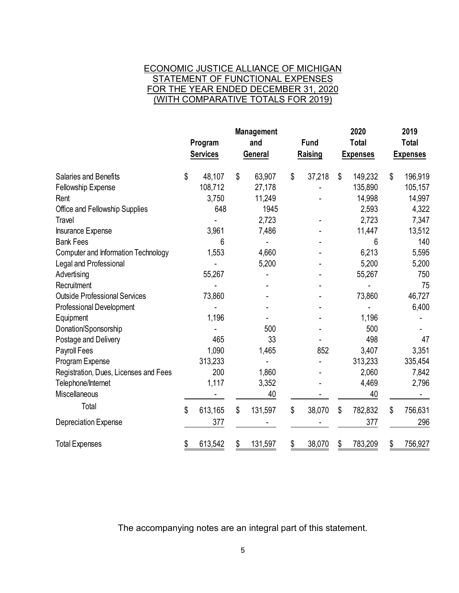## ECONOMIC JUSTICE ALLIANCE OF MICHIGAN STATEMENT OF FUNCTIONAL EXPENSES FOR THE YEAR ENDED DECEMBER 31, 2020 (WITH COMPARATIVE TOTALS FOR 2019)

|                                            | <b>Management</b> |    |                    | 2020 | 2019         |                 |              |                 |
|--------------------------------------------|-------------------|----|--------------------|------|--------------|-----------------|--------------|-----------------|
|                                            | Program           |    | <b>Fund</b><br>and |      | <b>Total</b> |                 | <b>Total</b> |                 |
|                                            | <b>Services</b>   |    | <b>General</b>     |      | Raising      | <b>Expenses</b> |              | <b>Expenses</b> |
| <b>Salaries and Benefits</b>               | \$<br>48,107      | \$ | 63,907             | \$   | 37,218       | \$<br>149,232   | \$           | 196,919         |
| <b>Fellowship Expense</b>                  | 108,712           |    | 27,178             |      |              | 135,890         |              | 105,157         |
| Rent                                       | 3,750             |    | 11,249             |      |              | 14,998          |              | 14,997          |
| Office and Fellowship Supplies             | 648               |    | 1945               |      |              | 2,593           |              | 4,322           |
| Travel                                     |                   |    | 2,723              |      |              | 2,723           |              | 7,347           |
| Insurance Expense                          | 3,961             |    | 7,486              |      |              | 11,447          |              | 13,512          |
| <b>Bank Fees</b>                           | 6                 |    |                    |      |              | 6               |              | 140             |
| <b>Computer and Information Technology</b> | 1,553             |    | 4,660              |      |              | 6,213           |              | 5,595           |
| Legal and Professional                     |                   |    | 5,200              |      |              | 5,200           |              | 5,200           |
| Advertising                                | 55,267            |    |                    |      |              | 55,267          |              | 750             |
| Recruitment                                |                   |    |                    |      |              |                 |              | 75              |
| <b>Outside Professional Services</b>       | 73,860            |    |                    |      |              | 73,860          |              | 46,727          |
| Professional Development                   |                   |    |                    |      |              |                 |              | 6,400           |
| Equipment                                  | 1,196             |    |                    |      |              | 1,196           |              |                 |
| Donation/Sponsorship                       |                   |    | 500                |      |              | 500             |              |                 |
| Postage and Delivery                       | 465               |    | 33                 |      |              | 498             |              | 47              |
| Payroll Fees                               | 1,090             |    | 1,465              |      | 852          | 3,407           |              | 3,351           |
| Program Expense                            | 313,233           |    |                    |      |              | 313,233         |              | 335,454         |
| Registration, Dues, Licenses and Fees      | 200               |    | 1,860              |      |              | 2,060           |              | 7,842           |
| Telephone/Internet                         | 1,117             |    | 3,352              |      |              | 4,469           |              | 2,796           |
| Miscellaneous                              |                   |    | 40                 |      |              | 40              |              |                 |
| Total                                      | \$<br>613,165     | \$ | 131,597            | \$   | 38,070       | \$<br>782,832   | \$           | 756,631         |
| <b>Depreciation Expense</b>                | 377               |    |                    |      |              | 377             |              | 296             |
| <b>Total Expenses</b>                      | \$<br>613,542     | \$ | 131,597            | \$   | 38,070       | \$<br>783,209   | \$           | 756,927         |

The accompanying notes are an integral part of this statement.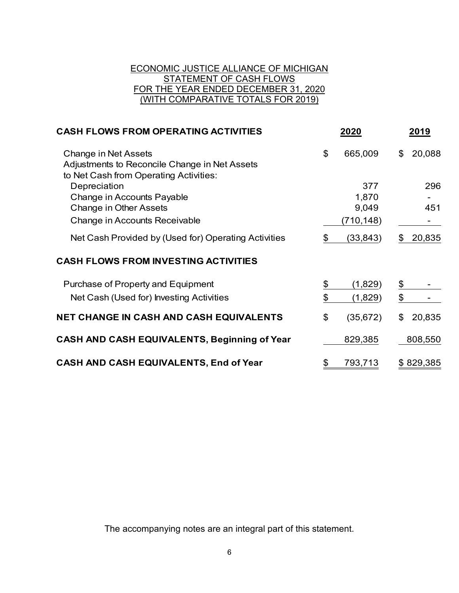## ECONOMIC JUSTICE ALLIANCE OF MICHIGAN STATEMENT OF CASH FLOWS FOR THE YEAR ENDED DECEMBER 31, 2020 (WITH COMPARATIVE TOTALS FOR 2019)

|                   | 2020      |               | 2019      |
|-------------------|-----------|---------------|-----------|
| \$                | 665,009   | \$            | 20,088    |
|                   | 377       |               | 296       |
|                   | 1,870     |               |           |
|                   | 9,049     |               | 451       |
|                   | (710,148) |               |           |
| \$                | (33,843)  | \$            | 20,835    |
|                   |           |               |           |
| $\overline{\Phi}$ | (1,829)   | $\frac{1}{2}$ |           |
| \$                | (1,829)   | \$            |           |
| \$                | (35, 672) | \$            | 20,835    |
|                   | 829,385   |               | 808,550   |
|                   | 793,713   |               | \$829,385 |
|                   |           |               |           |

The accompanying notes are an integral part of this statement.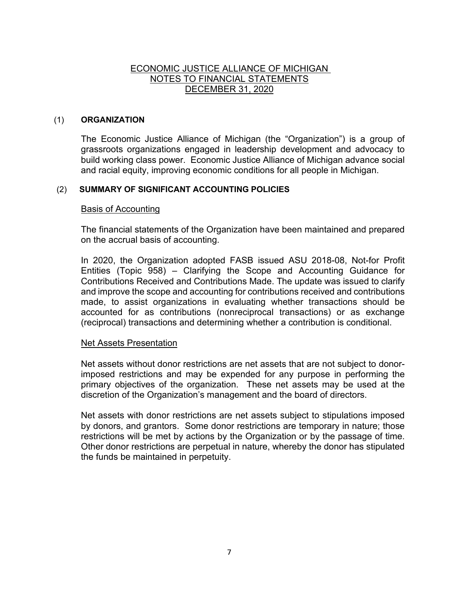#### (1) **ORGANIZATION**

The Economic Justice Alliance of Michigan (the "Organization") is a group of grassroots organizations engaged in leadership development and advocacy to build working class power. Economic Justice Alliance of Michigan advance social and racial equity, improving economic conditions for all people in Michigan.

#### (2) **SUMMARY OF SIGNIFICANT ACCOUNTING POLICIES**

#### Basis of Accounting

The financial statements of the Organization have been maintained and prepared on the accrual basis of accounting.

In 2020, the Organization adopted FASB issued ASU 2018-08, Not-for Profit Entities (Topic 958) – Clarifying the Scope and Accounting Guidance for Contributions Received and Contributions Made. The update was issued to clarify and improve the scope and accounting for contributions received and contributions made, to assist organizations in evaluating whether transactions should be accounted for as contributions (nonreciprocal transactions) or as exchange (reciprocal) transactions and determining whether a contribution is conditional.

#### Net Assets Presentation

Net assets without donor restrictions are net assets that are not subject to donorimposed restrictions and may be expended for any purpose in performing the primary objectives of the organization. These net assets may be used at the discretion of the Organization's management and the board of directors.

Net assets with donor restrictions are net assets subject to stipulations imposed by donors, and grantors. Some donor restrictions are temporary in nature; those restrictions will be met by actions by the Organization or by the passage of time. Other donor restrictions are perpetual in nature, whereby the donor has stipulated the funds be maintained in perpetuity.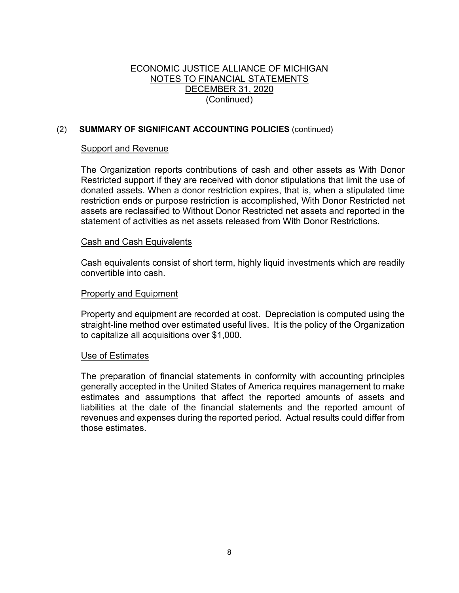#### (2) **SUMMARY OF SIGNIFICANT ACCOUNTING POLICIES** (continued)

#### Support and Revenue

The Organization reports contributions of cash and other assets as With Donor Restricted support if they are received with donor stipulations that limit the use of donated assets. When a donor restriction expires, that is, when a stipulated time restriction ends or purpose restriction is accomplished, With Donor Restricted net assets are reclassified to Without Donor Restricted net assets and reported in the statement of activities as net assets released from With Donor Restrictions.

#### Cash and Cash Equivalents

Cash equivalents consist of short term, highly liquid investments which are readily convertible into cash.

#### Property and Equipment

Property and equipment are recorded at cost. Depreciation is computed using the straight-line method over estimated useful lives. It is the policy of the Organization to capitalize all acquisitions over \$1,000.

#### Use of Estimates

The preparation of financial statements in conformity with accounting principles generally accepted in the United States of America requires management to make estimates and assumptions that affect the reported amounts of assets and liabilities at the date of the financial statements and the reported amount of revenues and expenses during the reported period. Actual results could differ from those estimates.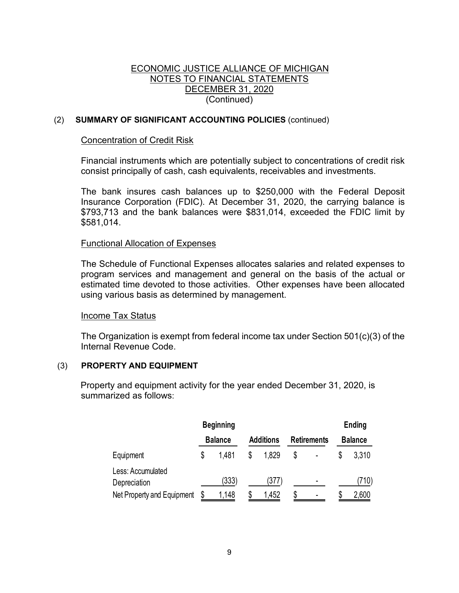#### (2) **SUMMARY OF SIGNIFICANT ACCOUNTING POLICIES** (continued)

#### Concentration of Credit Risk

Financial instruments which are potentially subject to concentrations of credit risk consist principally of cash, cash equivalents, receivables and investments.

The bank insures cash balances up to \$250,000 with the Federal Deposit Insurance Corporation (FDIC). At December 31, 2020, the carrying balance is \$793,713 and the bank balances were \$831,014, exceeded the FDIC limit by \$581,014.

#### Functional Allocation of Expenses

The Schedule of Functional Expenses allocates salaries and related expenses to program services and management and general on the basis of the actual or estimated time devoted to those activities. Other expenses have been allocated using various basis as determined by management.

#### **Income Tax Status**

The Organization is exempt from federal income tax under Section 501(c)(3) of the Internal Revenue Code.

#### (3) **PROPERTY AND EQUIPMENT**

Property and equipment activity for the year ended December 31, 2020, is summarized as follows:

|                            | <b>Beginning</b> |                  |                    | <b>Ending</b>  |
|----------------------------|------------------|------------------|--------------------|----------------|
|                            | <b>Balance</b>   | <b>Additions</b> | <b>Retirements</b> | <b>Balance</b> |
| Equipment                  | \$<br>1.481      | \$<br>1.829      | \$                 | 3,310          |
| Less: Accumulated          |                  |                  |                    |                |
| Depreciation               | (333)            | (377)            |                    | (710)          |
| Net Property and Equipment | 1,148            | \$<br>1,452      |                    | 2,600          |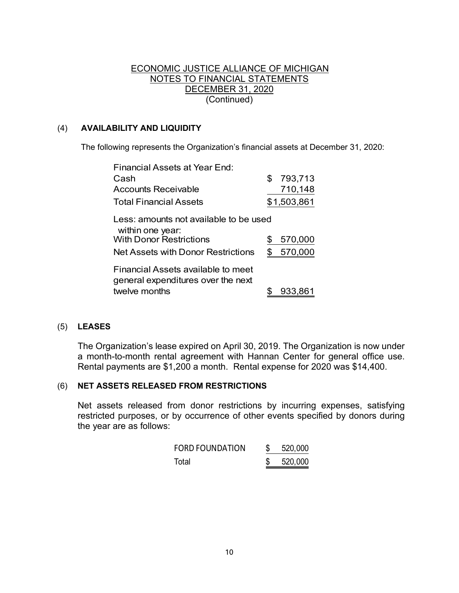#### (4) **AVAILABILITY AND LIQUIDITY**

The following represents the Organization's financial assets at December 31, 2020:

| <b>Financial Assets at Year End:</b>                                     |    |             |
|--------------------------------------------------------------------------|----|-------------|
| Cash                                                                     | S  | 793,713     |
| <b>Accounts Receivable</b>                                               |    | 710,148     |
| <b>Total Financial Assets</b>                                            |    | \$1,503,861 |
| Less: amounts not available to be used<br>within one year:               |    |             |
| <b>With Donor Restrictions</b>                                           | \$ | 570,000     |
| Net Assets with Donor Restrictions                                       | \$ | 570,000     |
| Financial Assets available to meet<br>general expenditures over the next |    |             |
| twelve months                                                            |    | 933,861     |

#### (5) **LEASES**

The Organization's lease expired on April 30, 2019. The Organization is now under a month-to-month rental agreement with Hannan Center for general office use. Rental payments are \$1,200 a month. Rental expense for 2020 was \$14,400.

#### (6) **NET ASSETS RELEASED FROM RESTRICTIONS**

Net assets released from donor restrictions by incurring expenses, satisfying restricted purposes, or by occurrence of other events specified by donors during the year are as follows:

| <b>FORD FOUNDATION</b> | 520,000 |
|------------------------|---------|
| Total                  | 520,000 |